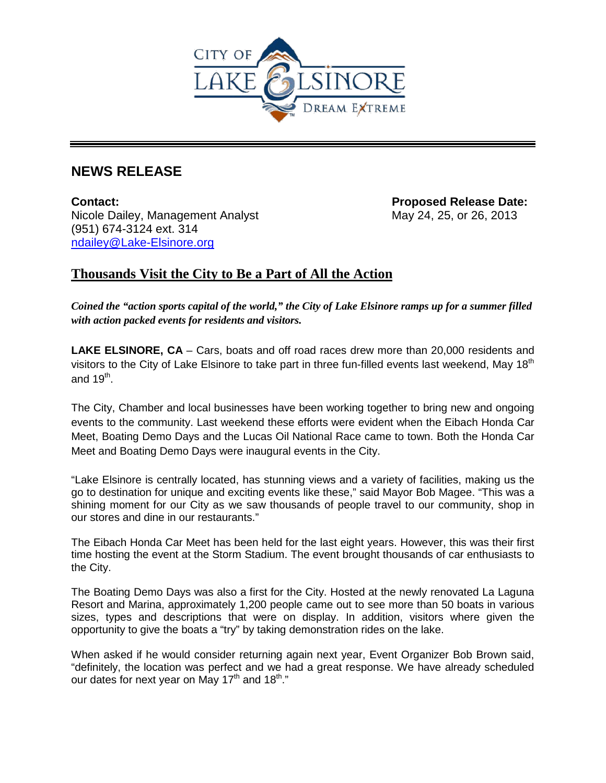

# **NEWS RELEASE**

**Contact: Proposed Release Date:**  Nicole Dailey, Management Analyst May 24, 25, or 26, 2013 (951) 674-3124 ext. 314 [ndailey@Lake-Elsinore.org](mailto:ndailey@Lake-Elsinore.org)

## **Thousands Visit the City to Be a Part of All the Action**

*Coined the "action sports capital of the world," the City of Lake Elsinore ramps up for a summer filled with action packed events for residents and visitors.* 

**LAKE ELSINORE, CA** – Cars, boats and off road races drew more than 20,000 residents and visitors to the City of Lake Elsinore to take part in three fun-filled events last weekend, May 18<sup>th</sup> and  $19^{th}$ .

The City, Chamber and local businesses have been working together to bring new and ongoing events to the community. Last weekend these efforts were evident when the Eibach Honda Car Meet, Boating Demo Days and the Lucas Oil National Race came to town. Both the Honda Car Meet and Boating Demo Days were inaugural events in the City.

"Lake Elsinore is centrally located, has stunning views and a variety of facilities, making us the go to destination for unique and exciting events like these," said Mayor Bob Magee. "This was a shining moment for our City as we saw thousands of people travel to our community, shop in our stores and dine in our restaurants."

The Eibach Honda Car Meet has been held for the last eight years. However, this was their first time hosting the event at the Storm Stadium. The event brought thousands of car enthusiasts to the City.

The Boating Demo Days was also a first for the City. Hosted at the newly renovated La Laguna Resort and Marina, approximately 1,200 people came out to see more than 50 boats in various sizes, types and descriptions that were on display. In addition, visitors where given the opportunity to give the boats a "try" by taking demonstration rides on the lake.

When asked if he would consider returning again next year, Event Organizer Bob Brown said, "definitely, the location was perfect and we had a great response. We have already scheduled our dates for next year on May 17<sup>th</sup> and 18<sup>th</sup>."